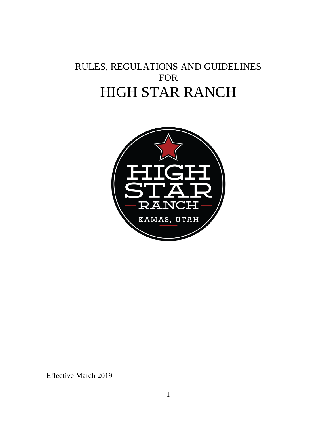# RULES, REGULATIONS AND GUIDELINES FOR HIGH STAR RANCH



Effective March 2019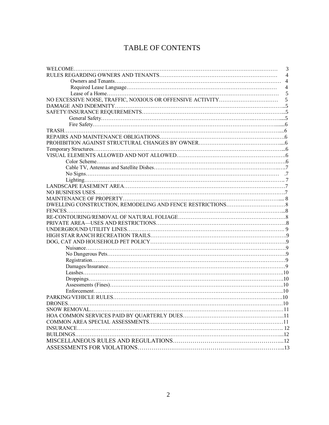# TABLE OF CONTENTS

|               | 3              |
|---------------|----------------|
|               | $\overline{4}$ |
|               | $\overline{4}$ |
|               | $\overline{4}$ |
|               | 5              |
|               | 5              |
|               |                |
|               |                |
|               |                |
|               |                |
|               |                |
|               |                |
|               |                |
|               |                |
|               |                |
|               |                |
|               |                |
|               |                |
|               |                |
|               |                |
|               |                |
|               |                |
|               |                |
|               |                |
|               |                |
|               |                |
|               |                |
|               |                |
|               |                |
|               |                |
|               |                |
|               |                |
|               |                |
|               |                |
|               |                |
|               |                |
|               |                |
|               |                |
| <b>DRONES</b> |                |
|               |                |
|               |                |
|               |                |
|               |                |
|               |                |
|               |                |
|               |                |
|               |                |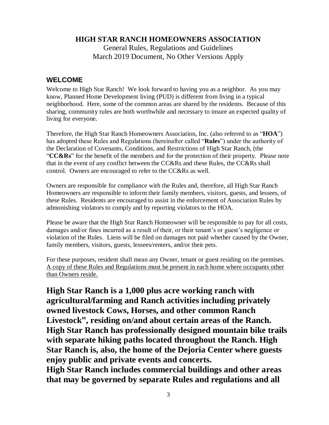**HIGH STAR RANCH HOMEOWNERS ASSOCIATION**

General Rules, Regulations and Guidelines March 2019 Document, No Other Versions Apply

### **WELCOME**

Welcome to High Star Ranch! We look forward to having you as a neighbor. As you may know, Planned Home Development living (PUD) is different from living in a typical neighborhood. Here, some of the common areas are shared by the residents. Because of this sharing, community rules are both worthwhile and necessary to insure an expected quality of living for everyone.

Therefore, the High Star Ranch Homeowners Association, Inc. (also referred to as "**HOA**") has adopted these Rules and Regulations (hereinafter called "**Rules**") under the authority of the Declaration of Covenants, Conditions, and Restrictions of High Star Ranch, (the "**CC&Rs**" for the benefit of the members and for the protection of their property. Please note that in the event of any conflict between the CC&Rs and these Rules, the CC&Rs shall control. Owners are encouraged to refer to the CC&Rs as well.

Owners are responsible for compliance with the Rules and, therefore, all High Star Ranch Homeowners are responsible to inform their family members, visitors, guests, and lessees, of these Rules. Residents are encouraged to assist in the enforcement of Association Rules by admonishing violators to comply and by reporting violators to the HOA.

Please be aware that the High Star Ranch Homeowner will be responsible to pay for all costs, damages and/or fines incurred as a result of their, or their tenant's or guest's negligence or violation of the Rules. Liens will be filed on damages not paid whether caused by the Owner, family members, visitors, guests, lessees/renters, and/or their pets.

For these purposes, resident shall mean any Owner, tenant or guest residing on the premises. A copy of these Rules and Regulations must be present in each home where occupants other than Owners reside.

**High Star Ranch is a 1,000 plus acre working ranch with agricultural/farming and Ranch activities including privately owned livestock Cows, Horses, and other common Ranch Livestock", residing on/and about certain areas of the Ranch. High Star Ranch has professionally designed mountain bike trails with separate hiking paths located throughout the Ranch. High Star Ranch is, also, the home of the Dejoria Center where guests enjoy public and private events and concerts.**

**High Star Ranch includes commercial buildings and other areas that may be governed by separate Rules and regulations and all**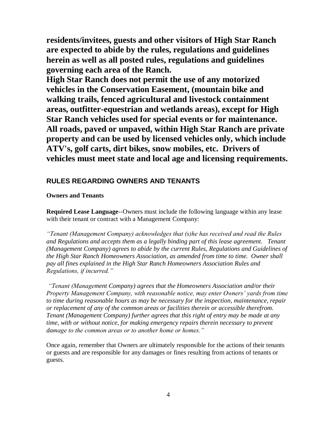**residents/invitees, guests and other visitors of High Star Ranch are expected to abide by the rules, regulations and guidelines herein as well as all posted rules, regulations and guidelines governing each area of the Ranch.**

**High Star Ranch does not permit the use of any motorized vehicles in the Conservation Easement, (mountain bike and walking trails, fenced agricultural and livestock containment areas, outfitter-equestrian and wetlands areas), except for High Star Ranch vehicles used for special events or for maintenance. All roads, paved or unpaved, within High Star Ranch are private property and can be used by licensed vehicles only, which include ATV's, golf carts, dirt bikes, snow mobiles, etc. Drivers of vehicles must meet state and local age and licensing requirements.**

### **RULES REGARDING OWNERS AND TENANTS**

#### **Owners and Tenants**

**Required Lease Language**--Owners must include the following language within any lease with their tenant or contract with a Management Company:

*"Tenant (Management Company) acknowledges that (s)he has received and read the Rules and Regulations and accepts them as a legally binding part of this lease agreement. Tenant (Management Company) agrees to abide by the current Rules, Regulations and Guidelines of the High Star Ranch Homeowners Association, as amended from time to time. Owner shall pay all fines explained in the High Star Ranch Homeowners Association Rules and Regulations, if incurred."*

*"Tenant (Management Company) agrees that the Homeowners Association and/or their Property Management Company, with reasonable notice, may enter Owners' yards from time to time during reasonable hours as may be necessary for the inspection, maintenance, repair or replacement of any of the common areas or facilities therein or accessible therefrom. Tenant (Management Company) further agrees that this right of entry may be made at any time, with or without notice, for making emergency repairs therein necessary to prevent damage to the common areas or to another home or homes."*

Once again, remember that Owners are ultimately responsible for the actions of their tenants or guests and are responsible for any damages or fines resulting from actions of tenants or guests.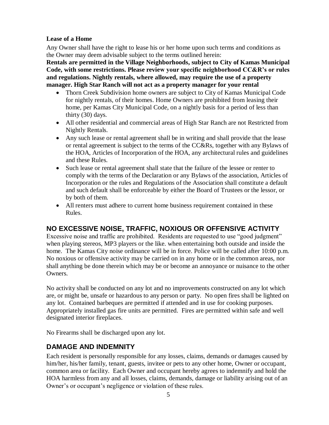#### **Lease of a Home**

Any Owner shall have the right to lease his or her home upon such terms and conditions as the Owner may deem advisable subject to the terms outlined herein:

**Rentals are permitted in the Village Neighborhoods, subject to City of Kamas Municipal Code, with some restrictions. Please review your specific neighborhood CC&R's or rules and regulations. Nightly rentals, where allowed, may require the use of a property manager. High Star Ranch will not act as a property manager for your rental**

- Thorn Creek Subdivision home owners are subject to City of Kamas Municipal Code for nightly rentals, of their homes. Home Owners are prohibited from leasing their home, per Kamas City Municipal Code, on a nightly basis for a period of less than thirty (30) days.
- All other residential and commercial areas of High Star Ranch are not Restricted from Nightly Rentals.
- Any such lease or rental agreement shall be in writing and shall provide that the lease or rental agreement is subject to the terms of the CC&Rs, together with any Bylaws of the HOA, Articles of Incorporation of the HOA, any architectural rules and guidelines and these Rules.
- Such lease or rental agreement shall state that the failure of the lessee or renter to comply with the terms of the Declaration or any Bylaws of the association, Articles of Incorporation or the rules and Regulations of the Association shall constitute a default and such default shall be enforceable by either the Board of Trustees or the lessor, or by both of them.
- All renters must adhere to current home business requirement contained in these Rules.

### **NO EXCESSIVE NOISE, TRAFFIC, NOXIOUS OR OFFENSIVE ACTIVITY**

Excessive noise and traffic are prohibited. Residents are requested to use "good judgment" when playing stereos, MP3 players or the like. when entertaining both outside and inside the home. The Kamas City noise ordinance will be in force. Police will be called after 10:00 p.m. No noxious or offensive activity may be carried on in any home or in the common areas, nor shall anything be done therein which may be or become an annoyance or nuisance to the other Owners.

No activity shall be conducted on any lot and no improvements constructed on any lot which are, or might be, unsafe or hazardous to any person or party. No open fires shall be lighted on any lot. Contained barbeques are permitted if attended and in use for cooking purposes. Appropriately installed gas fire units are permitted. Fires are permitted within safe and well designated interior fireplaces.

No Firearms shall be discharged upon any lot.

### **DAMAGE AND INDEMNITY**

Each resident is personally responsible for any losses, claims, demands or damages caused by him/her, his/her family, tenant, guests, invitee or pets to any other home, Owner or occupant, common area or facility. Each Owner and occupant hereby agrees to indemnify and hold the HOA harmless from any and all losses, claims, demands, damage or liability arising out of an Owner's or occupant's negligence or violation of these rules.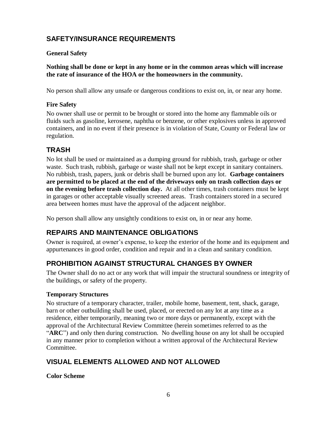# **SAFETY/INSURANCE REQUIREMENTS**

#### **General Safety**

**Nothing shall be done or kept in any home or in the common areas which will increase the rate of insurance of the HOA or the homeowners in the community.**

No person shall allow any unsafe or dangerous conditions to exist on, in, or near any home.

#### **Fire Safety**

No owner shall use or permit to be brought or stored into the home any flammable oils or fluids such as gasoline, kerosene, naphtha or benzene, or other explosives unless in approved containers, and in no event if their presence is in violation of State, County or Federal law or regulation.

### **TRASH**

No lot shall be used or maintained as a dumping ground for rubbish, trash, garbage or other waste. Such trash, rubbish, garbage or waste shall not be kept except in sanitary containers. No rubbish, trash, papers, junk or debris shall be burned upon any lot. **Garbage containers are permitted to be placed at the end of the driveways only on trash collection days or on the evening before trash collection day.** At all other times, trash containers must be kept in garages or other acceptable visually screened areas. Trash containers stored in a secured area between homes must have the approval of the adjacent neighbor.

No person shall allow any unsightly conditions to exist on, in or near any home.

# **REPAIRS AND MAINTENANCE OBLIGATIONS**

Owner is required, at owner's expense, to keep the exterior of the home and its equipment and appurtenances in good order, condition and repair and in a clean and sanitary condition.

# **PROHIBITION AGAINST STRUCTURAL CHANGES BY OWNER**

The Owner shall do no act or any work that will impair the structural soundness or integrity of the buildings, or safety of the property.

#### **Temporary Structures**

No structure of a temporary character, trailer, mobile home, basement, tent, shack, garage, barn or other outbuilding shall be used, placed, or erected on any lot at any time as a residence, either temporarily, meaning two or more days or permanently, except with the approval of the Architectural Review Committee (herein sometimes referred to as the "**ARC**") and only then during construction. No dwelling house on any lot shall be occupied in any manner prior to completion without a written approval of the Architectural Review Committee.

### **VISUAL ELEMENTS ALLOWED AND NOT ALLOWED**

**Color Scheme**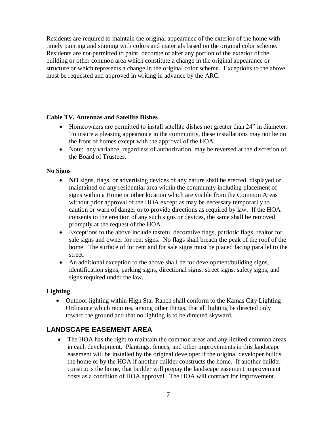Residents are required to maintain the original appearance of the exterior of the home with timely painting and staining with colors and materials based on the original color scheme. Residents are not permitted to paint, decorate or alter any portion of the exterior of the building or other common area which constitute a change in the original appearance or structure or which represents a change in the original color scheme. Exceptions to the above must be requested and approved in writing in advance by the ARC.

#### **Cable TV, Antennas and Satellite Dishes**

- Homeowners are permitted to install satellite dishes not greater than 24" in diameter. To insure a pleasing appearance in the community, these installations may not be on the front of homes except with the approval of the HOA.
- Note: any variance, regardless of authorization, may be reversed at the discretion of the Board of Trustees.

#### **No Signs**

- **NO** signs, flags, or advertising devices of any nature shall be erected, displayed or maintained on any residential area within the community including placement of signs within a Home or other location which are visible from the Common Areas without prior approval of the HOA except as may be necessary temporarily to caution or warn of danger or to provide directions as required by law. If the HOA consents to the erection of any such signs or devices, the same shall be removed promptly at the request of the HOA.
- Exceptions to the above include tasteful decorative flags, patriotic flags, realtor for sale signs and owner for rent signs. No flags shall breach the peak of the roof of the home. The surface of for rent and for sale signs must be placed facing parallel to the street.
- An additional exception to the above shall be for development/building signs, identification signs, parking signs, directional signs, street signs, safety signs, and signs required under the law.

#### **Lighting**

• Outdoor lighting within High Star Ranch shall conform to the Kamas City Lighting Ordinance which requires, among other things, that all lighting be directed only toward the ground and that no lighting is to be directed skyward.

### **LANDSCAPE EASEMENT AREA**

• The HOA has the right to maintain the common areas and any limited common areas in each development. Plantings, fences, and other improvements in this landscape easement will be installed by the original developer if the original developer builds the home or by the HOA if another builder constructs the home. If another builder constructs the home, that builder will prepay the landscape easement improvement costs as a condition of HOA approval. The HOA will contract for improvement.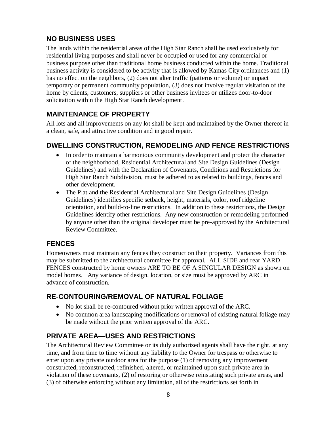# **NO BUSINESS USES**

The lands within the residential areas of the High Star Ranch shall be used exclusively for residential living purposes and shall never be occupied or used for any commercial or business purpose other than traditional home business conducted within the home. Traditional business activity is considered to be activity that is allowed by Kamas City ordinances and (1) has no effect on the neighbors, (2) does not alter traffic (patterns or volume) or impact temporary or permanent community population, (3) does not involve regular visitation of the home by clients, customers, suppliers or other business invitees or utilizes door-to-door solicitation within the High Star Ranch development.

# **MAINTENANCE OF PROPERTY**

All lots and all improvements on any lot shall be kept and maintained by the Owner thereof in a clean, safe, and attractive condition and in good repair.

### **DWELLING CONSTRUCTION, REMODELING AND FENCE RESTRICTIONS**

- In order to maintain a harmonious community development and protect the character of the neighborhood, Residential Architectural and Site Design Guidelines (Design Guidelines) and with the Declaration of Covenants, Conditions and Restrictions for High Star Ranch Subdivision, must be adhered to as related to buildings, fences and other development.
- The Plat and the Residential Architectural and Site Design Guidelines (Design Guidelines) identifies specific setback, height, materials, color, roof ridgeline orientation, and build-to-line restrictions. In addition to these restrictions, the Design Guidelines identify other restrictions. Any new construction or remodeling performed by anyone other than the original developer must be pre-approved by the Architectural Review Committee.

### **FENCES**

Homeowners must maintain any fences they construct on their property. Variances from this may be submitted to the architectural committee for approval. ALL SIDE and rear YARD FENCES constructed by home owners ARE TO BE OF A SINGULAR DESIGN as shown on model homes. Any variance of design, location, or size must be approved by ARC in advance of construction.

# **RE-CONTOURING/REMOVAL OF NATURAL FOLIAGE**

- No lot shall be re-contoured without prior written approval of the ARC.
- No common area landscaping modifications or removal of existing natural foliage may be made without the prior written approval of the ARC.

# **PRIVATE AREA—USES AND RESTRICTIONS**

The Architectural Review Committee or its duly authorized agents shall have the right, at any time, and from time to time without any liability to the Owner for trespass or otherwise to enter upon any private outdoor area for the purpose (1) of removing any improvement constructed, reconstructed, refinished, altered, or maintained upon such private area in violation of these covenants, (2) of restoring or otherwise reinstating such private areas, and (3) of otherwise enforcing without any limitation, all of the restrictions set forth in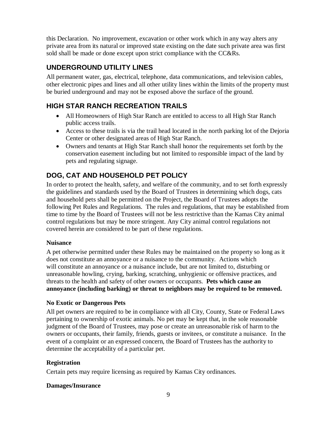this Declaration. No improvement, excavation or other work which in any way alters any private area from its natural or improved state existing on the date such private area was first sold shall be made or done except upon strict compliance with the CC&Rs.

# **UNDERGROUND UTILITY LINES**

All permanent water, gas, electrical, telephone, data communications, and television cables, other electronic pipes and lines and all other utility lines within the limits of the property must be buried underground and may not be exposed above the surface of the ground.

# **HIGH STAR RANCH RECREATION TRAILS**

- All Homeowners of High Star Ranch are entitled to access to all High Star Ranch public access trails.
- Access to these trails is via the trail head located in the north parking lot of the Dejoria Center or other designated areas of High Star Ranch.
- Owners and tenants at High Star Ranch shall honor the requirements set forth by the conservation easement including but not limited to responsible impact of the land by pets and regulating signage.

# **DOG, CAT AND HOUSEHOLD PET POLICY**

In order to protect the health, safety, and welfare of the community, and to set forth expressly the guidelines and standards used by the Board of Trustees in determining which dogs, cats and household pets shall be permitted on the Project, the Board of Trustees adopts the following Pet Rules and Regulations. The rules and regulations, that may be established from time to time by the Board of Trustees will not be less restrictive than the Kamas City animal control regulations but may be more stringent. Any City animal control regulations not covered herein are considered to be part of these regulations.

#### **Nuisance**

A pet otherwise permitted under these Rules may be maintained on the property so long as it does not constitute an annoyance or a nuisance to the community. Actions which will constitute an annoyance or a nuisance include, but are not limited to, disturbing or unreasonable howling, crying, barking, scratching, unhygienic or offensive practices, and threats to the health and safety of other owners or occupants. **Pets which cause an annoyance (including barking) or threat to neighbors may be required to be removed.**

#### **No Exotic or Dangerous Pets**

All pet owners are required to be in compliance with all City, County, State or Federal Laws pertaining to ownership of exotic animals. No pet may be kept that, in the sole reasonable judgment of the Board of Trustees, may pose or create an unreasonable risk of harm to the owners or occupants, their family, friends, guests or invitees, or constitute a nuisance. In the event of a complaint or an expressed concern, the Board of Trustees has the authority to determine the acceptability of a particular pet.

### **Registration**

Certain pets may require licensing as required by Kamas City ordinances.

#### **Damages/Insurance**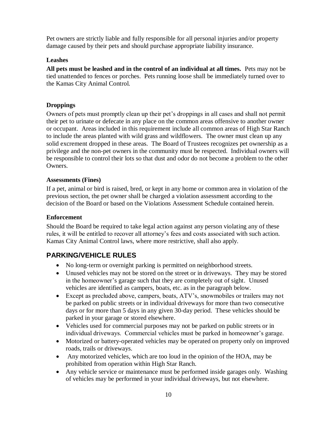Pet owners are strictly liable and fully responsible for all personal injuries and/or property damage caused by their pets and should purchase appropriate liability insurance.

#### **Leashes**

**All pets must be leashed and in the control of an individual at all times.** Pets may not be tied unattended to fences or porches. Pets running loose shall be immediately turned over to the Kamas City Animal Control.

#### **Droppings**

Owners of pets must promptly clean up their pet's droppings in all cases and shall not permit their pet to urinate or defecate in any place on the common areas offensive to another owner or occupant. Areas included in this requirement include all common areas of High Star Ranch to include the areas planted with wild grass and wildflowers. The owner must clean up any solid excrement dropped in these areas. The Board of Trustees recognizes pet ownership as a privilege and the non-pet owners in the community must be respected. Individual owners will be responsible to control their lots so that dust and odor do not become a problem to the other Owners.

#### **Assessments (Fines)**

If a pet, animal or bird is raised, bred, or kept in any home or common area in violation of the previous section, the pet owner shall be charged a violation assessment according to the decision of the Board or based on the Violations Assessment Schedule contained herein.

#### **Enforcement**

Should the Board be required to take legal action against any person violating any of these rules, it will be entitled to recover all attorney's fees and costs associated with such action. Kamas City Animal Control laws, where more restrictive, shall also apply.

### **PARKING/VEHICLE RULES**

- No long-term or overnight parking is permitted on neighborhood streets.
- Unused vehicles may not be stored on the street or in driveways. They may be stored in the homeowner's garage such that they are completely out of sight. Unused vehicles are identified as campers, boats, etc. as in the paragraph below.
- Except as precluded above, campers, boats, ATV's, snowmobiles or trailers may not be parked on public streets or in individual driveways for more than two consecutive days or for more than 5 days in any given 30-day period. These vehicles should be parked in your garage or stored elsewhere.
- Vehicles used for commercial purposes may not be parked on public streets or in individual driveways. Commercial vehicles must be parked in homeowner's garage.
- Motorized or battery-operated vehicles may be operated on property only on improved roads, trails or driveways.
- Any motorized vehicles, which are too loud in the opinion of the HOA, may be prohibited from operation within High Star Ranch.
- Any vehicle service or maintenance must be performed inside garages only. Washing of vehicles may be performed in your individual driveways, but not elsewhere.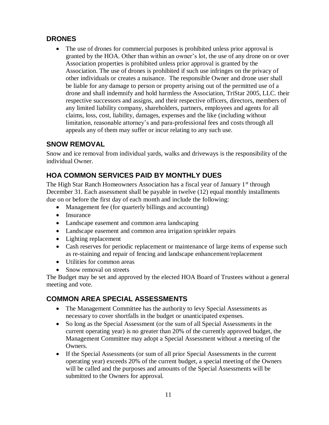# **DRONES**

• The use of drones for commercial purposes is prohibited unless prior approval is granted by the HOA. Other than within an owner's lot, the use of any drone on or over Association properties is prohibited unless prior approval is granted by the Association. The use of drones is prohibited if such use infringes on the privacy of other individuals or creates a nuisance. The responsible Owner and drone user shall be liable for any damage to person or property arising out of the permitted use of a drone and shall indemnify and hold harmless the Association, TriStar 2005, LLC. their respective successors and assigns, and their respective officers, directors, members of any limited liability company, shareholders, partners, employees and agents for all claims, loss, cost, liability, damages, expenses and the like (including without limitation, reasonable attorney's and para-professional fees and costs through all appeals any of them may suffer or incur relating to any such use.

### **SNOW REMOVAL**

Snow and ice removal from individual yards, walks and driveways is the responsibility of the individual Owner.

# **HOA COMMON SERVICES PAID BY MONTHLY DUES**

The High Star Ranch Homeowners Association has a fiscal year of January 1<sup>st</sup> through December 31. Each assessment shall be payable in twelve (12) equal monthly installments due on or before the first day of each month and include the following:

- Management fee (for quarterly billings and accounting)
- Insurance
- Landscape easement and common area landscaping
- Landscape easement and common area irrigation sprinkler repairs
- Lighting replacement
- Cash reserves for periodic replacement or maintenance of large items of expense such as re-staining and repair of fencing and landscape enhancement/replacement
- Utilities for common areas
- Snow removal on streets

The Budget may be set and approved by the elected HOA Board of Trustees without a general meeting and vote.

# **COMMON AREA SPECIAL ASSESSMENTS**

- The Management Committee has the authority to levy Special Assessments as necessary to cover shortfalls in the budget or unanticipated expenses.
- So long as the Special Assessment (or the sum of all Special Assessments in the current operating year) is no greater than 20% of the currently approved budget, the Management Committee may adopt a Special Assessment without a meeting of the Owners.
- If the Special Assessments (or sum of all prior Special Assessments in the current operating year) exceeds 20% of the current budget, a special meeting of the Owners will be called and the purposes and amounts of the Special Assessments will be submitted to the Owners for approval.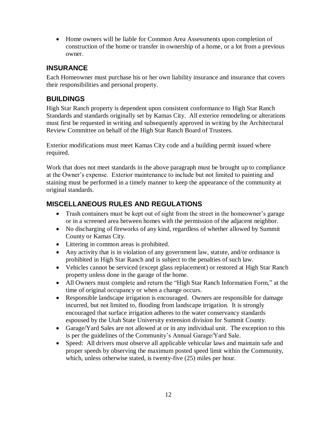• Home owners will be liable for Common Area Assessments upon completion of construction of the home or transfer in ownership of a home, or a lot from a previous owner.

### **INSURANCE**

Each Homeowner must purchase his or her own liability insurance and insurance that covers their responsibilities and personal property.

#### **BUILDINGS**

High Star Ranch property is dependent upon consistent conformance to High Star Ranch Standards and standards originally set by Kamas City. All exterior remodeling or alterations must first be requested in writing and subsequently approved in writing by the Architectural Review Committee on behalf of the High Star Ranch Board of Trustees.

Exterior modifications must meet Kamas City code and a building permit issued where required.

Work that does not meet standards in the above paragraph must be brought up to compliance at the Owner's expense. Exterior maintenance to include but not limited to painting and staining must be performed in a timely manner to keep the appearance of the community at original standards.

### **MISCELLANEOUS RULES AND REGULATIONS**

- Trash containers must be kept out of sight from the street in the homeowner's garage or in a screened area between homes with the permission of the adjacent neighbor.
- No discharging of fireworks of any kind, regardless of whether allowed by Summit County or Kamas City.
- Littering in common areas is prohibited.
- Any activity that is in violation of any government law, statute, and/or ordinance is prohibited in High Star Ranch and is subject to the penalties of such law.
- Vehicles cannot be serviced (except glass replacement) or restored at High Star Ranch property unless done in the garage of the home.
- All Owners must complete and return the "High Star Ranch Information Form," at the time of original occupancy or when a change occurs.
- Responsible landscape irrigation is encouraged. Owners are responsible for damage incurred, but not limited to, flooding from landscape irrigation. It is strongly encouraged that surface irrigation adheres to the water conservancy standards espoused by the Utah State University extension division for Summit County.
- Garage/Yard Sales are not allowed at or in any individual unit. The exception to this is per the guidelines of the Community's Annual Garage/Yard Sale.
- Speed: All drivers must observe all applicable vehicular laws and maintain safe and proper speeds by observing the maximum posted speed limit within the Community, which, unless otherwise stated, is twenty-five  $(25)$  miles per hour.